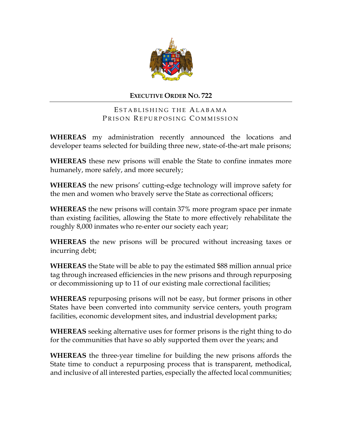

## **EXECUTIVE ORDER NO. 722**

ESTABLISHING THE ALABAMA PRISON REPURPOSING COMMISSION

**WHEREAS** my administration recently announced the locations and developer teams selected for building three new, state-of-the-art male prisons;

**WHEREAS** these new prisons will enable the State to confine inmates more humanely, more safely, and more securely;

**WHEREAS** the new prisons' cutting-edge technology will improve safety for the men and women who bravely serve the State as correctional officers;

**WHEREAS** the new prisons will contain 37% more program space per inmate than existing facilities, allowing the State to more effectively rehabilitate the roughly 8,000 inmates who re-enter our society each year;

**WHEREAS** the new prisons will be procured without increasing taxes or incurring debt;

**WHEREAS** the State will be able to pay the estimated \$88 million annual price tag through increased efficiencies in the new prisons and through repurposing or decommissioning up to 11 of our existing male correctional facilities;

**WHEREAS** repurposing prisons will not be easy, but former prisons in other States have been converted into community service centers, youth program facilities, economic development sites, and industrial development parks;

**WHEREAS** seeking alternative uses for former prisons is the right thing to do for the communities that have so ably supported them over the years; and

**WHEREAS** the three-year timeline for building the new prisons affords the State time to conduct a repurposing process that is transparent, methodical, and inclusive of all interested parties, especially the affected local communities;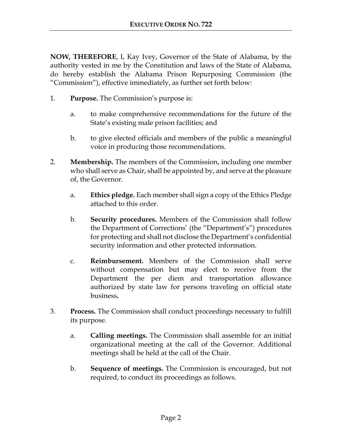**NOW, THEREFORE**, I, Kay Ivey, Governor of the State of Alabama, by the authority vested in me by the Constitution and laws of the State of Alabama, do hereby establish the Alabama Prison Repurposing Commission (the "Commission"), effective immediately, as further set forth below:

- 1. **Purpose.** The Commission's purpose is:
	- a. to make comprehensive recommendations for the future of the State's existing male prison facilities; and
	- b. to give elected officials and members of the public a meaningful voice in producing those recommendations.
- 2. **Membership.** The members of the Commission, including one member who shall serve as Chair, shall be appointed by, and serve at the pleasure of, the Governor.
	- a. **Ethics pledge.** Each member shall sign a copy of the Ethics Pledge attached to this order.
	- b. **Security procedures.** Members of the Commission shall follow the Department of Corrections' (the "Department's") procedures for protecting and shall not disclose the Department's confidential security information and other protected information.
	- c. **Reimbursement.** Members of the Commission shall serve without compensation but may elect to receive from the Department the per diem and transportation allowance authorized by state law for persons traveling on official state business**.**
- 3. **Process.** The Commission shall conduct proceedings necessary to fulfill its purpose.
	- a. **Calling meetings.** The Commission shall assemble for an initial organizational meeting at the call of the Governor. Additional meetings shall be held at the call of the Chair.
	- b. **Sequence of meetings.** The Commission is encouraged, but not required, to conduct its proceedings as follows.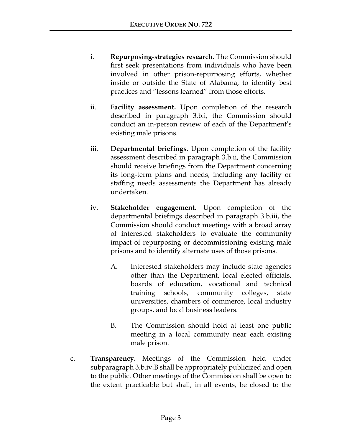- i. **Repurposing-strategies research.** The Commission should first seek presentations from individuals who have been involved in other prison-repurposing efforts, whether inside or outside the State of Alabama, to identify best practices and "lessons learned" from those efforts.
- ii. **Facility assessment.** Upon completion of the research described in paragraph 3.b.i, the Commission should conduct an in-person review of each of the Department's existing male prisons.
- iii. **Departmental briefings.** Upon completion of the facility assessment described in paragraph 3.b.ii, the Commission should receive briefings from the Department concerning its long-term plans and needs, including any facility or staffing needs assessments the Department has already undertaken.
- iv. **Stakeholder engagement.** Upon completion of the departmental briefings described in paragraph 3.b.iii, the Commission should conduct meetings with a broad array of interested stakeholders to evaluate the community impact of repurposing or decommissioning existing male prisons and to identify alternate uses of those prisons.
	- A. Interested stakeholders may include state agencies other than the Department, local elected officials, boards of education, vocational and technical training schools, community colleges, state universities, chambers of commerce, local industry groups, and local business leaders.
	- B. The Commission should hold at least one public meeting in a local community near each existing male prison.
- c. **Transparency.** Meetings of the Commission held under subparagraph 3.b.iv.B shall be appropriately publicized and open to the public. Other meetings of the Commission shall be open to the extent practicable but shall, in all events, be closed to the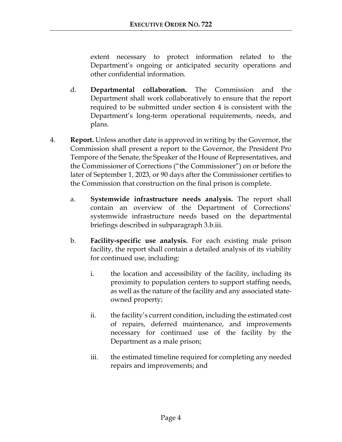extent necessary to protect information related to the Department's ongoing or anticipated security operations and other confidential information.

- d. **Departmental collaboration.** The Commission and the Department shall work collaboratively to ensure that the report required to be submitted under section 4 is consistent with the Department's long-term operational requirements, needs, and plans.
- 4. **Report.** Unless another date is approved in writing by the Governor, the Commission shall present a report to the Governor, the President Pro Tempore of the Senate, the Speaker of the House of Representatives, and the Commissioner of Corrections ("the Commissioner") on or before the later of September 1, 2023, or 90 days after the Commissioner certifies to the Commission that construction on the final prison is complete.
	- a. **Systemwide infrastructure needs analysis.** The report shall contain an overview of the Department of Corrections' systemwide infrastructure needs based on the departmental briefings described in subparagraph 3.b.iii.
	- b. **Facility-specific use analysis.** For each existing male prison facility, the report shall contain a detailed analysis of its viability for continued use, including:
		- i. the location and accessibility of the facility, including its proximity to population centers to support staffing needs, as well as the nature of the facility and any associated stateowned property;
		- ii. the facility's current condition, including the estimated cost of repairs, deferred maintenance, and improvements necessary for continued use of the facility by the Department as a male prison;
		- iii. the estimated timeline required for completing any needed repairs and improvements; and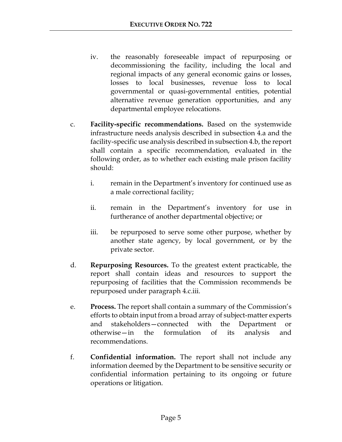- iv. the reasonably foreseeable impact of repurposing or decommissioning the facility, including the local and regional impacts of any general economic gains or losses, losses to local businesses, revenue loss to local governmental or quasi-governmental entities, potential alternative revenue generation opportunities, and any departmental employee relocations.
- c. **Facility-specific recommendations.** Based on the systemwide infrastructure needs analysis described in subsection 4.a and the facility-specific use analysis described in subsection 4.b, the report shall contain a specific recommendation, evaluated in the following order, as to whether each existing male prison facility should:
	- i. remain in the Department's inventory for continued use as a male correctional facility;
	- ii. remain in the Department's inventory for use in furtherance of another departmental objective; or
	- iii. be repurposed to serve some other purpose, whether by another state agency, by local government, or by the private sector.
- d. **Repurposing Resources.** To the greatest extent practicable, the report shall contain ideas and resources to support the repurposing of facilities that the Commission recommends be repurposed under paragraph 4.c.iii.
- e. **Process.** The report shall contain a summary of the Commission's efforts to obtain input from a broad array of subject-matter experts and stakeholders—connected with the Department or otherwise—in the formulation of its analysis and recommendations.
- f. **Confidential information.** The report shall not include any information deemed by the Department to be sensitive security or confidential information pertaining to its ongoing or future operations or litigation.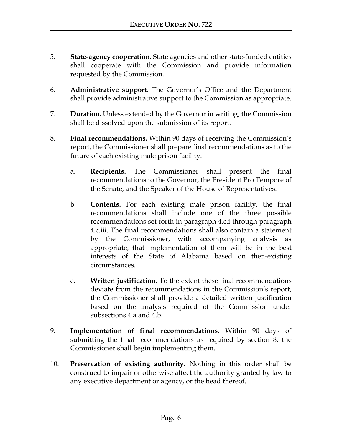- 5. **State-agency cooperation.** State agencies and other state-funded entities shall cooperate with the Commission and provide information requested by the Commission.
- 6. **Administrative support.** The Governor's Office and the Department shall provide administrative support to the Commission as appropriate.
- 7. **Duration.** Unless extended by the Governor in writing, the Commission shall be dissolved upon the submission of its report.
- 8. **Final recommendations.** Within 90 days of receiving the Commission's report, the Commissioner shall prepare final recommendations as to the future of each existing male prison facility.
	- a. **Recipients.** The Commissioner shall present the final recommendations to the Governor, the President Pro Tempore of the Senate, and the Speaker of the House of Representatives.
	- b. **Contents.** For each existing male prison facility, the final recommendations shall include one of the three possible recommendations set forth in paragraph 4.c.i through paragraph 4.c.iii. The final recommendations shall also contain a statement by the Commissioner, with accompanying analysis as appropriate, that implementation of them will be in the best interests of the State of Alabama based on then-existing circumstances.
	- c. **Written justification.** To the extent these final recommendations deviate from the recommendations in the Commission's report, the Commissioner shall provide a detailed written justification based on the analysis required of the Commission under subsections 4.a and 4.b.
- 9. **Implementation of final recommendations.** Within 90 days of submitting the final recommendations as required by section 8, the Commissioner shall begin implementing them.
- 10. **Preservation of existing authority.** Nothing in this order shall be construed to impair or otherwise affect the authority granted by law to any executive department or agency, or the head thereof.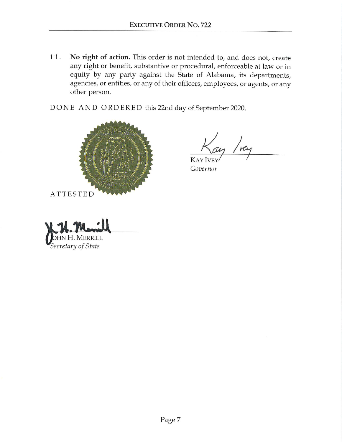$11.$ No right of action. This order is not intended to, and does not, create any right or benefit, substantive or procedural, enforceable at law or in equity by any party against the State of Alabama, its departments, agencies, or entities, or any of their officers, employees, or agents, or any other person.

DONE AND ORDERED this 22nd day of September 2020.



re

KAY Governor

H. MERRILL Secretary of State